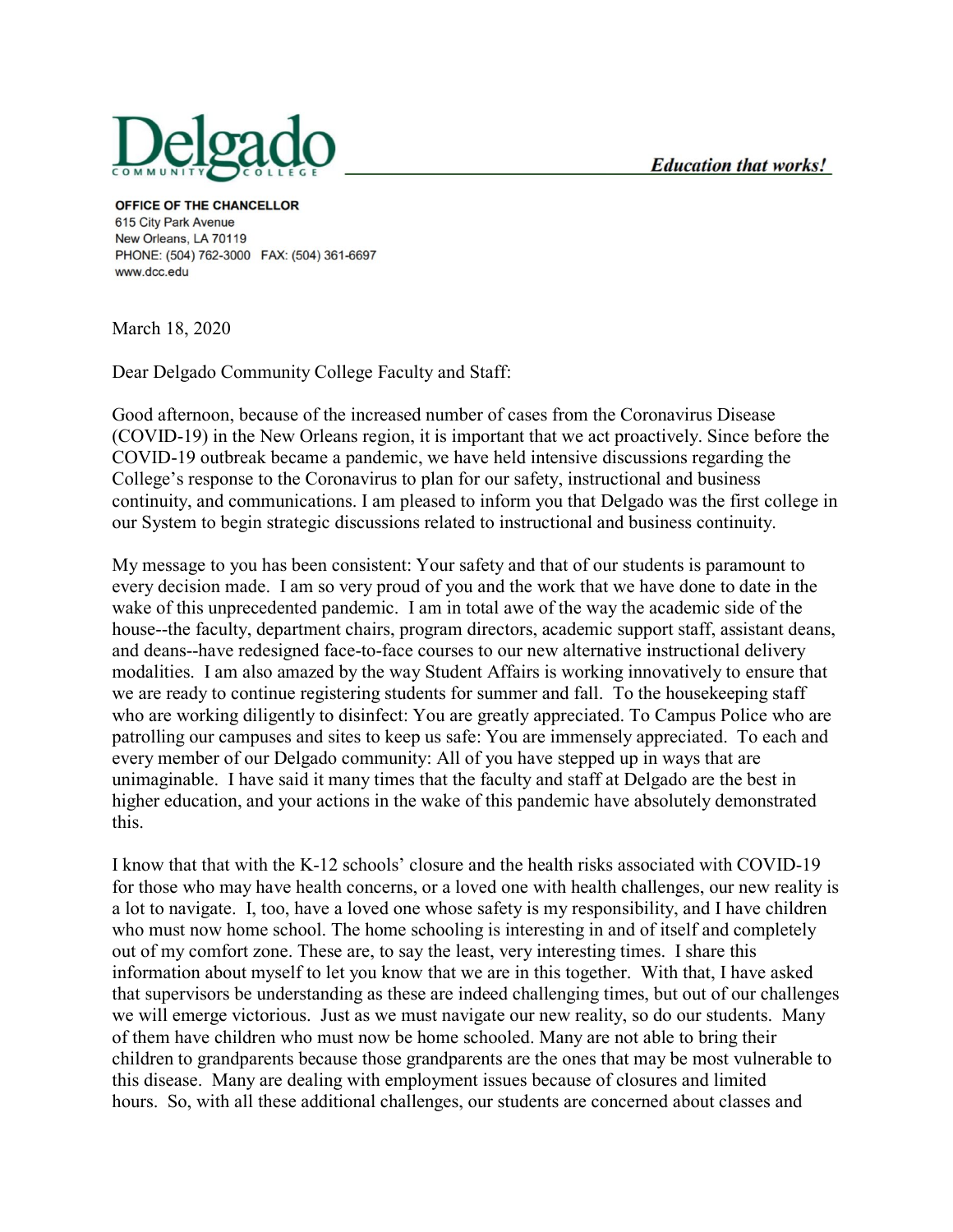

OFFICE OF THE CHANCELLOR 615 City Park Avenue New Orleans, LA 70119 PHONE: (504) 762-3000 FAX: (504) 361-6697 www.dcc.edu

March 18, 2020

Dear Delgado Community College Faculty and Staff:

Good afternoon, because of the increased number of cases from the Coronavirus Disease (COVID-19) in the New Orleans region, it is important that we act proactively. Since before the COVID-19 outbreak became a pandemic, we have held intensive discussions regarding the College's response to the Coronavirus to plan for our safety, instructional and business continuity, and communications. I am pleased to inform you that Delgado was the first college in our System to begin strategic discussions related to instructional and business continuity.

My message to you has been consistent: Your safety and that of our students is paramount to every decision made. I am so very proud of you and the work that we have done to date in the wake of this unprecedented pandemic. I am in total awe of the way the academic side of the house--the faculty, department chairs, program directors, academic support staff, assistant deans, and deans--have redesigned face-to-face courses to our new alternative instructional delivery modalities. I am also amazed by the way Student Affairs is working innovatively to ensure that we are ready to continue registering students for summer and fall. To the housekeeping staff who are working diligently to disinfect: You are greatly appreciated. To Campus Police who are patrolling our campuses and sites to keep us safe: You are immensely appreciated. To each and every member of our Delgado community: All of you have stepped up in ways that are unimaginable. I have said it many times that the faculty and staff at Delgado are the best in higher education, and your actions in the wake of this pandemic have absolutely demonstrated this.

I know that that with the K-12 schools' closure and the health risks associated with COVID-19 for those who may have health concerns, or a loved one with health challenges, our new reality is a lot to navigate. I, too, have a loved one whose safety is my responsibility, and I have children who must now home school. The home schooling is interesting in and of itself and completely out of my comfort zone. These are, to say the least, very interesting times. I share this information about myself to let you know that we are in this together. With that, I have asked that supervisors be understanding as these are indeed challenging times, but out of our challenges we will emerge victorious. Just as we must navigate our new reality, so do our students. Many of them have children who must now be home schooled. Many are not able to bring their children to grandparents because those grandparents are the ones that may be most vulnerable to this disease. Many are dealing with employment issues because of closures and limited hours. So, with all these additional challenges, our students are concerned about classes and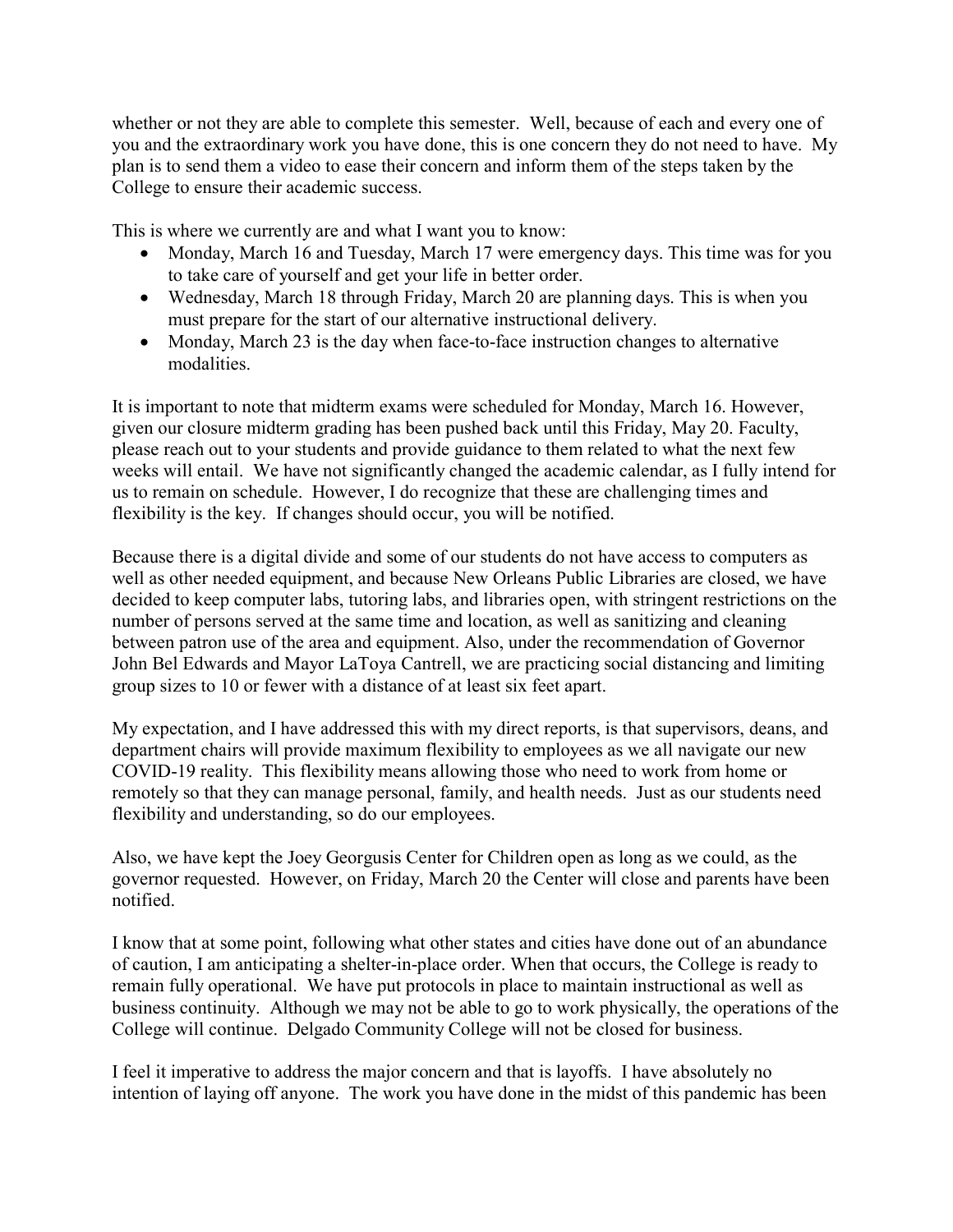whether or not they are able to complete this semester. Well, because of each and every one of you and the extraordinary work you have done, this is one concern they do not need to have. My plan is to send them a video to ease their concern and inform them of the steps taken by the College to ensure their academic success.

This is where we currently are and what I want you to know:

- Monday, March 16 and Tuesday, March 17 were emergency days. This time was for you to take care of yourself and get your life in better order.
- Wednesday, March 18 through Friday, March 20 are planning days. This is when you must prepare for the start of our alternative instructional delivery.
- Monday, March 23 is the day when face-to-face instruction changes to alternative modalities.

It is important to note that midterm exams were scheduled for Monday, March 16. However, given our closure midterm grading has been pushed back until this Friday, May 20. Faculty, please reach out to your students and provide guidance to them related to what the next few weeks will entail. We have not significantly changed the academic calendar, as I fully intend for us to remain on schedule. However, I do recognize that these are challenging times and flexibility is the key. If changes should occur, you will be notified.

Because there is a digital divide and some of our students do not have access to computers as well as other needed equipment, and because New Orleans Public Libraries are closed, we have decided to keep computer labs, tutoring labs, and libraries open, with stringent restrictions on the number of persons served at the same time and location, as well as sanitizing and cleaning between patron use of the area and equipment. Also, under the recommendation of Governor John Bel Edwards and Mayor LaToya Cantrell, we are practicing social distancing and limiting group sizes to 10 or fewer with a distance of at least six feet apart.

My expectation, and I have addressed this with my direct reports, is that supervisors, deans, and department chairs will provide maximum flexibility to employees as we all navigate our new COVID-19 reality. This flexibility means allowing those who need to work from home or remotely so that they can manage personal, family, and health needs. Just as our students need flexibility and understanding, so do our employees.

Also, we have kept the Joey Georgusis Center for Children open as long as we could, as the governor requested. However, on Friday, March 20 the Center will close and parents have been notified.

I know that at some point, following what other states and cities have done out of an abundance of caution, I am anticipating a shelter-in-place order. When that occurs, the College is ready to remain fully operational. We have put protocols in place to maintain instructional as well as business continuity. Although we may not be able to go to work physically, the operations of the College will continue. Delgado Community College will not be closed for business.

I feel it imperative to address the major concern and that is layoffs. I have absolutely no intention of laying off anyone. The work you have done in the midst of this pandemic has been